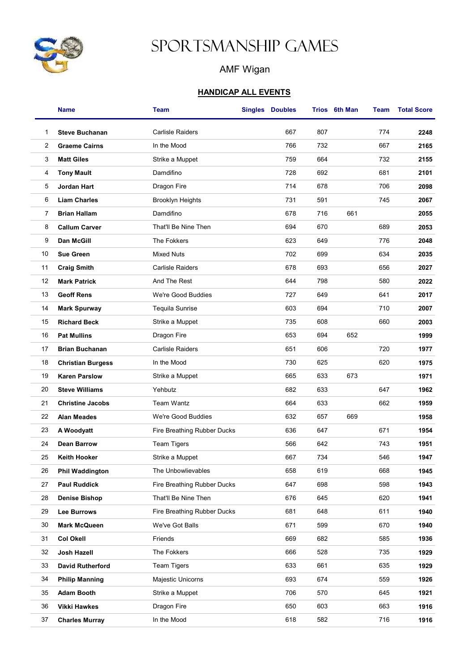

## Sportsmanship Games

## AMF Wigan

## HANDICAP ALL EVENTS

|    | <b>Name</b>              | <b>Team</b>                 | <b>Singles Doubles</b> |     | Trios 6th Man | Team | <b>Total Score</b> |
|----|--------------------------|-----------------------------|------------------------|-----|---------------|------|--------------------|
| 1  | <b>Steve Buchanan</b>    | <b>Carlisle Raiders</b>     | 667                    | 807 |               | 774  | 2248               |
| 2  | <b>Graeme Cairns</b>     | In the Mood                 | 766                    | 732 |               | 667  | 2165               |
| 3  | <b>Matt Giles</b>        | Strike a Muppet             | 759                    | 664 |               | 732  | 2155               |
| 4  | <b>Tony Mault</b>        | Damdifino                   | 728                    | 692 |               | 681  | 2101               |
| 5  | Jordan Hart              | Dragon Fire                 | 714                    | 678 |               | 706  | 2098               |
| 6  | <b>Liam Charles</b>      | <b>Brooklyn Heights</b>     | 731                    | 591 |               | 745  | 2067               |
| 7  | <b>Brian Hallam</b>      | Damdifino                   | 678                    | 716 | 661           |      | 2055               |
| 8  | <b>Callum Carver</b>     | That'll Be Nine Then        | 694                    | 670 |               | 689  | 2053               |
| 9  | <b>Dan McGill</b>        | The Fokkers                 | 623                    | 649 |               | 776  | 2048               |
| 10 | <b>Sue Green</b>         | <b>Mixed Nuts</b>           | 702                    | 699 |               | 634  | 2035               |
| 11 | <b>Craig Smith</b>       | <b>Carlisle Raiders</b>     | 678                    | 693 |               | 656  | 2027               |
| 12 | <b>Mark Patrick</b>      | And The Rest                | 644                    | 798 |               | 580  | 2022               |
| 13 | <b>Geoff Rens</b>        | We're Good Buddies          | 727                    | 649 |               | 641  | 2017               |
| 14 | <b>Mark Spurway</b>      | Tequila Sunrise             | 603                    | 694 |               | 710  | 2007               |
| 15 | <b>Richard Beck</b>      | Strike a Muppet             | 735                    | 608 |               | 660  | 2003               |
| 16 | <b>Pat Mullins</b>       | Dragon Fire                 | 653                    | 694 | 652           |      | 1999               |
| 17 | <b>Brian Buchanan</b>    | <b>Carlisle Raiders</b>     | 651                    | 606 |               | 720  | 1977               |
| 18 | <b>Christian Burgess</b> | In the Mood                 | 730                    | 625 |               | 620  | 1975               |
| 19 | <b>Karen Parslow</b>     | Strike a Muppet             | 665                    | 633 | 673           |      | 1971               |
| 20 | <b>Steve Williams</b>    | Yehbutz                     | 682                    | 633 |               | 647  | 1962               |
| 21 | <b>Christine Jacobs</b>  | <b>Team Wantz</b>           | 664                    | 633 |               | 662  | 1959               |
| 22 | <b>Alan Meades</b>       | We're Good Buddies          | 632                    | 657 | 669           |      | 1958               |
| 23 | A Woodyatt               | Fire Breathing Rubber Ducks | 636                    | 647 |               | 671  | 1954               |
| 24 | <b>Dean Barrow</b>       | <b>Team Tigers</b>          | 566                    | 642 |               | 743  | 1951               |
| 25 | Keith Hooker             | Strike a Muppet             | 667                    | 734 |               | 546  | 1947               |
| 26 | <b>Phil Waddington</b>   | The Unbowlievables          | 658                    | 619 |               | 668  | 1945               |
| 27 | <b>Paul Ruddick</b>      | Fire Breathing Rubber Ducks | 647                    | 698 |               | 598  | 1943               |
| 28 | <b>Denise Bishop</b>     | That'll Be Nine Then        | 676                    | 645 |               | 620  | 1941               |
| 29 | <b>Lee Burrows</b>       | Fire Breathing Rubber Ducks | 681                    | 648 |               | 611  | 1940               |
| 30 | Mark McQueen             | We've Got Balls             | 671                    | 599 |               | 670  | 1940               |
| 31 | <b>Col Okell</b>         | Friends                     | 669                    | 682 |               | 585  | 1936               |
| 32 | Josh Hazell              | The Fokkers                 | 666                    | 528 |               | 735  | 1929               |
| 33 | <b>David Rutherford</b>  | <b>Team Tigers</b>          | 633                    | 661 |               | 635  | 1929               |
| 34 | <b>Philip Manning</b>    | Majestic Unicorns           | 693                    | 674 |               | 559  | 1926               |
| 35 | <b>Adam Booth</b>        | Strike a Muppet             | 706                    | 570 |               | 645  | 1921               |
| 36 | <b>Vikki Hawkes</b>      | Dragon Fire                 | 650                    | 603 |               | 663  | 1916               |
| 37 | <b>Charles Murray</b>    | In the Mood                 | 618                    | 582 |               | 716  | 1916               |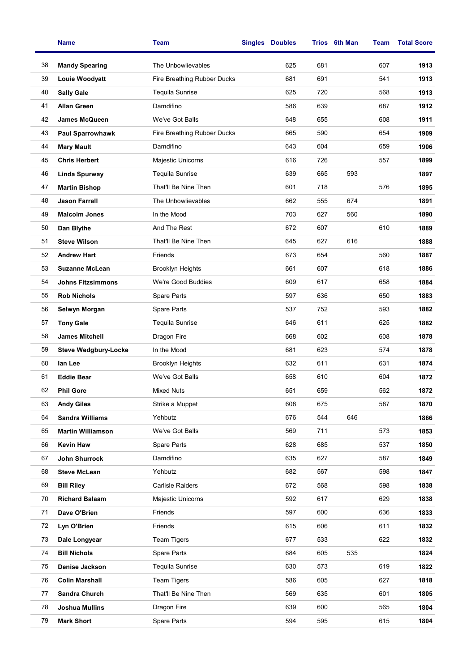|    | <b>Name</b>                 | <b>Team</b>                 | <b>Singles</b> | <b>Doubles</b> |     | Trios 6th Man | Team | <b>Total Score</b> |
|----|-----------------------------|-----------------------------|----------------|----------------|-----|---------------|------|--------------------|
| 38 | <b>Mandy Spearing</b>       | The Unbowlievables          |                | 625            | 681 |               | 607  | 1913               |
| 39 | Louie Woodyatt              | Fire Breathing Rubber Ducks |                | 681            | 691 |               | 541  | 1913               |
| 40 | <b>Sally Gale</b>           | Tequila Sunrise             |                | 625            | 720 |               | 568  | 1913               |
| 41 | <b>Allan Green</b>          | Damdifino                   |                | 586            | 639 |               | 687  | 1912               |
| 42 | <b>James McQueen</b>        | We've Got Balls             |                | 648            | 655 |               | 608  | 1911               |
| 43 | <b>Paul Sparrowhawk</b>     | Fire Breathing Rubber Ducks |                | 665            | 590 |               | 654  | 1909               |
| 44 | <b>Mary Mault</b>           | Damdifino                   |                | 643            | 604 |               | 659  | 1906               |
| 45 | <b>Chris Herbert</b>        | Majestic Unicorns           |                | 616            | 726 |               | 557  | 1899               |
| 46 | <b>Linda Spurway</b>        | <b>Tequila Sunrise</b>      |                | 639            | 665 | 593           |      | 1897               |
| 47 | <b>Martin Bishop</b>        | That'll Be Nine Then        |                | 601            | 718 |               | 576  | 1895               |
| 48 | <b>Jason Farrall</b>        | The Unbowlievables          |                | 662            | 555 | 674           |      | 1891               |
| 49 | <b>Malcolm Jones</b>        | In the Mood                 |                | 703            | 627 | 560           |      | 1890               |
| 50 | Dan Blythe                  | And The Rest                |                | 672            | 607 |               | 610  | 1889               |
| 51 | <b>Steve Wilson</b>         | That'll Be Nine Then        |                | 645            | 627 | 616           |      | 1888               |
| 52 | <b>Andrew Hart</b>          | Friends                     |                | 673            | 654 |               | 560  | 1887               |
| 53 | <b>Suzanne McLean</b>       | <b>Brooklyn Heights</b>     |                | 661            | 607 |               | 618  | 1886               |
| 54 | <b>Johns Fitzsimmons</b>    | We're Good Buddies          |                | 609            | 617 |               | 658  | 1884               |
| 55 | <b>Rob Nichols</b>          | Spare Parts                 |                | 597            | 636 |               | 650  | 1883               |
| 56 | Selwyn Morgan               | Spare Parts                 |                | 537            | 752 |               | 593  | 1882               |
| 57 | <b>Tony Gale</b>            | Tequila Sunrise             |                | 646            | 611 |               | 625  | 1882               |
| 58 | <b>James Mitchell</b>       | Dragon Fire                 |                | 668            | 602 |               | 608  | 1878               |
| 59 | <b>Steve Wedgbury-Locke</b> | In the Mood                 |                | 681            | 623 |               | 574  | 1878               |
| 60 | lan Lee                     | <b>Brooklyn Heights</b>     |                | 632            | 611 |               | 631  | 1874               |
| 61 | <b>Eddie Bear</b>           | We've Got Balls             |                | 658            | 610 |               | 604  | 1872               |
| 62 | <b>Phil Gore</b>            | <b>Mixed Nuts</b>           |                | 651            | 659 |               | 562  | 1872               |
| 63 | <b>Andy Giles</b>           | Strike a Muppet             |                | 608            | 675 |               | 587  | 1870               |
| 64 | <b>Sandra Williams</b>      | Yehbutz                     |                | 676            | 544 | 646           |      | 1866               |
| 65 | <b>Martin Williamson</b>    | We've Got Balls             |                | 569            | 711 |               | 573  | 1853               |
| 66 | <b>Kevin Haw</b>            | Spare Parts                 |                | 628            | 685 |               | 537  | 1850               |
| 67 | John Shurrock               | Damdifino                   |                | 635            | 627 |               | 587  | 1849               |
| 68 | <b>Steve McLean</b>         | Yehbutz                     |                | 682            | 567 |               | 598  | 1847               |
| 69 | <b>Bill Riley</b>           | <b>Carlisle Raiders</b>     |                | 672            | 568 |               | 598  | 1838               |
| 70 | <b>Richard Balaam</b>       | Majestic Unicorns           |                | 592            | 617 |               | 629  | 1838               |
| 71 | Dave O'Brien                | Friends                     |                | 597            | 600 |               | 636  | 1833               |
| 72 | Lyn O'Brien                 | Friends                     |                | 615            | 606 |               | 611  | 1832               |
| 73 | Dale Longyear               | <b>Team Tigers</b>          |                | 677            | 533 |               | 622  | 1832               |
| 74 | <b>Bill Nichols</b>         | Spare Parts                 |                | 684            | 605 | 535           |      | 1824               |
| 75 | Denise Jackson              | Tequila Sunrise             |                | 630            | 573 |               | 619  | 1822               |
| 76 | <b>Colin Marshall</b>       | <b>Team Tigers</b>          |                | 586            | 605 |               | 627  | 1818               |
| 77 | Sandra Church               | That'll Be Nine Then        |                | 569            | 635 |               | 601  | 1805               |
| 78 | <b>Joshua Mullins</b>       | Dragon Fire                 |                | 639            | 600 |               | 565  | 1804               |
| 79 | <b>Mark Short</b>           | Spare Parts                 |                | 594            | 595 |               | 615  | 1804               |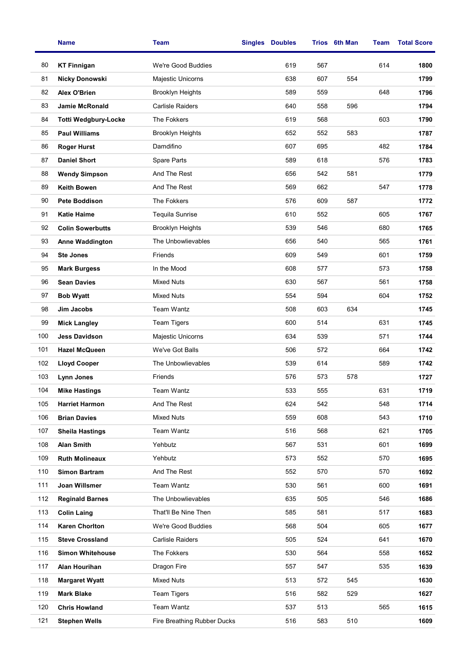|     | <b>Name</b>                 | <b>Team</b>                 | <b>Singles Doubles</b> |     | Trios 6th Man | Team | <b>Total Score</b> |
|-----|-----------------------------|-----------------------------|------------------------|-----|---------------|------|--------------------|
| 80  | <b>KT Finnigan</b>          | We're Good Buddies          | 619                    | 567 |               | 614  | 1800               |
| 81  | <b>Nicky Donowski</b>       | Majestic Unicorns           | 638                    | 607 | 554           |      | 1799               |
| 82  | Alex O'Brien                | <b>Brooklyn Heights</b>     | 589                    | 559 |               | 648  | 1796               |
| 83  | <b>Jamie McRonald</b>       | <b>Carlisle Raiders</b>     | 640                    | 558 | 596           |      | 1794               |
| 84  | <b>Totti Wedgbury-Locke</b> | The Fokkers                 | 619                    | 568 |               | 603  | 1790               |
| 85  | <b>Paul Williams</b>        | <b>Brooklyn Heights</b>     | 652                    | 552 | 583           |      | 1787               |
| 86  | <b>Roger Hurst</b>          | Damdifino                   | 607                    | 695 |               | 482  | 1784               |
| 87  | <b>Daniel Short</b>         | Spare Parts                 | 589                    | 618 |               | 576  | 1783               |
| 88  | <b>Wendy Simpson</b>        | And The Rest                | 656                    | 542 | 581           |      | 1779               |
| 89  | <b>Keith Bowen</b>          | And The Rest                | 569                    | 662 |               | 547  | 1778               |
| 90  | <b>Pete Boddison</b>        | The Fokkers                 | 576                    | 609 | 587           |      | 1772               |
| 91  | <b>Katie Haime</b>          | Tequila Sunrise             | 610                    | 552 |               | 605  | 1767               |
| 92  | <b>Colin Sowerbutts</b>     | <b>Brooklyn Heights</b>     | 539                    | 546 |               | 680  | 1765               |
| 93  | <b>Anne Waddington</b>      | The Unbowlievables          | 656                    | 540 |               | 565  | 1761               |
| 94  | <b>Ste Jones</b>            | Friends                     | 609                    | 549 |               | 601  | 1759               |
| 95  | <b>Mark Burgess</b>         | In the Mood                 | 608                    | 577 |               | 573  | 1758               |
| 96  | <b>Sean Davies</b>          | <b>Mixed Nuts</b>           | 630                    | 567 |               | 561  | 1758               |
| 97  | <b>Bob Wyatt</b>            | <b>Mixed Nuts</b>           | 554                    | 594 |               | 604  | 1752               |
| 98  | Jim Jacobs                  | <b>Team Wantz</b>           | 508                    | 603 | 634           |      | 1745               |
| 99  | <b>Mick Langley</b>         | <b>Team Tigers</b>          | 600                    | 514 |               | 631  | 1745               |
| 100 | <b>Jess Davidson</b>        | Majestic Unicorns           | 634                    | 539 |               | 571  | 1744               |
| 101 | <b>Hazel McQueen</b>        | We've Got Balls             | 506                    | 572 |               | 664  | 1742               |
| 102 | <b>Lloyd Cooper</b>         | The Unbowlievables          | 539                    | 614 |               | 589  | 1742               |
| 103 | Lynn Jones                  | Friends                     | 576                    | 573 | 578           |      | 1727               |
| 104 | Mike Hastings               | <b>Team Wantz</b>           | 533                    | 555 |               | 631  | 1719               |
| 105 | <b>Harriet Harmon</b>       | And The Rest                | 624                    | 542 |               | 548  | 1714               |
| 106 | <b>Brian Davies</b>         | <b>Mixed Nuts</b>           | 559                    | 608 |               | 543  | 1710               |
| 107 | <b>Sheila Hastings</b>      | Team Wantz                  | 516                    | 568 |               | 621  | 1705               |
| 108 | <b>Alan Smith</b>           | Yehbutz                     | 567                    | 531 |               | 601  | 1699               |
| 109 | <b>Ruth Molineaux</b>       | Yehbutz                     | 573                    | 552 |               | 570  | 1695               |
| 110 | <b>Simon Bartram</b>        | And The Rest                | 552                    | 570 |               | 570  | 1692               |
| 111 | Joan Willsmer               | Team Wantz                  | 530                    | 561 |               | 600  | 1691               |
| 112 | <b>Reginald Barnes</b>      | The Unbowlievables          | 635                    | 505 |               | 546  | 1686               |
| 113 | <b>Colin Laing</b>          | That'll Be Nine Then        | 585                    | 581 |               | 517  | 1683               |
| 114 | <b>Karen Chorlton</b>       | We're Good Buddies          | 568                    | 504 |               | 605  | 1677               |
| 115 | <b>Steve Crossland</b>      | <b>Carlisle Raiders</b>     | 505                    | 524 |               | 641  | 1670               |
| 116 | <b>Simon Whitehouse</b>     | The Fokkers                 | 530                    | 564 |               | 558  | 1652               |
| 117 | Alan Hourihan               | Dragon Fire                 | 557                    | 547 |               | 535  | 1639               |
| 118 | <b>Margaret Wyatt</b>       | <b>Mixed Nuts</b>           | 513                    | 572 | 545           |      | 1630               |
| 119 | <b>Mark Blake</b>           | <b>Team Tigers</b>          | 516                    | 582 | 529           |      | 1627               |
| 120 | <b>Chris Howland</b>        | Team Wantz                  | 537                    | 513 |               | 565  | 1615               |
| 121 | <b>Stephen Wells</b>        | Fire Breathing Rubber Ducks | 516                    | 583 | 510           |      | 1609               |